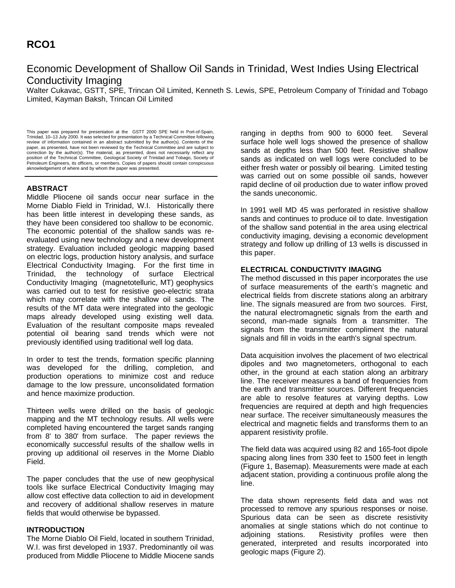# **RCO1**

# Economic Development of Shallow Oil Sands in Trinidad, West Indies Using Electrical Conductivity Imaging

Walter Cukavac, GSTT, SPE, Trincan Oil Limited, Kenneth S. Lewis, SPE, Petroleum Company of Trinidad and Tobago Limited, Kayman Baksh, Trincan Oil Limited

This paper was prepared for presentation at the GSTT 2000 SPE held in Port-of-Spain, Trinidad, 10–13 July 2000. It was selected for presentation by a Technical Committee following review of information contained in an abstract submitted by the author(s). Contents of the paper, as presented, have not been reviewed by the Technical Committee and are subject to correction by the author(s). The material, as presented, does not necessarily reflect any position of the Technical Committee, Geological Society of Trinidad and Tobago, Society of Petroleum Engineers, its officers, or members. Copies of papers should contain conspicuous aknowledgement of where and by whom the paper was presented.

## **ABSTRACT**

Middle Pliocene oil sands occur near surface in the Morne Diablo Field in Trinidad, W.I. Historically there has been little interest in developing these sands, as they have been considered too shallow to be economic. The economic potential of the shallow sands was reevaluated using new technology and a new development strategy. Evaluation included geologic mapping based on electric logs, production history analysis, and surface Electrical Conductivity Imaging. For the first time in Trinidad, the technology of surface Electrical Conductivity Imaging (magnetotelluric, MT) geophysics was carried out to test for resistive geo-electric strata which may correlate with the shallow oil sands. The results of the MT data were integrated into the geologic maps already developed using existing well data. Evaluation of the resultant composite maps revealed potential oil bearing sand trends which were not previously identified using traditional well log data.

In order to test the trends, formation specific planning was developed for the drilling, completion, and production operations to minimize cost and reduce damage to the low pressure, unconsolidated formation and hence maximize production.

Thirteen wells were drilled on the basis of geologic mapping and the MT technology results. All wells were completed having encountered the target sands ranging from 8' to 380' from surface. The paper reviews the economically successful results of the shallow wells in proving up additional oil reserves in the Morne Diablo Field.

The paper concludes that the use of new geophysical tools like surface Electrical Conductivity Imaging may allow cost effective data collection to aid in development and recovery of additional shallow reserves in mature fields that would otherwise be bypassed.

#### **INTRODUCTION**

The Morne Diablo Oil Field, located in southern Trinidad, W.I. was first developed in 1937. Predominantly oil was produced from Middle Pliocene to Middle Miocene sands ranging in depths from 900 to 6000 feet. Several surface hole well logs showed the presence of shallow sands at depths less than 500 feet. Resistive shallow sands as indicated on well logs were concluded to be either fresh water or possibly oil bearing. Limited testing was carried out on some possible oil sands, however rapid decline of oil production due to water inflow proved the sands uneconomic.

In 1991 well MD 45 was perforated in resistive shallow sands and continues to produce oil to date. Investigation of the shallow sand potential in the area using electrical conductivity imaging, devising a economic development strategy and follow up drilling of 13 wells is discussed in this paper.

### **ELECTRICAL CONDUCTIVITY IMAGING**

The method discussed in this paper incorporates the use of surface measurements of the earth's magnetic and electrical fields from discrete stations along an arbitrary line. The signals measured are from two sources. First, the natural electromagnetic signals from the earth and second, man-made signals from a transmitter. The signals from the transmitter compliment the natural signals and fill in voids in the earth's signal spectrum.

Data acquisition involves the placement of two electrical dipoles and two magnetometers, orthogonal to each other, in the ground at each station along an arbitrary line. The receiver measures a band of frequencies from the earth and transmitter sources. Different frequencies are able to resolve features at varying depths. Low frequencies are required at depth and high frequencies near surface. The receiver simultaneously measures the electrical and magnetic fields and transforms them to an apparent resistivity profile.

The field data was acquired using 82 and 165-foot dipole spacing along lines from 330 feet to 1500 feet in length (Figure 1, Basemap). Measurements were made at each adjacent station, providing a continuous profile along the line.

The data shown represents field data and was not processed to remove any spurious responses or noise. Spurious data can be seen as discrete resistivity anomalies at single stations which do not continue to adjoining stations. Resistivity profiles were then generated, interpreted and results incorporated into geologic maps (Figure 2).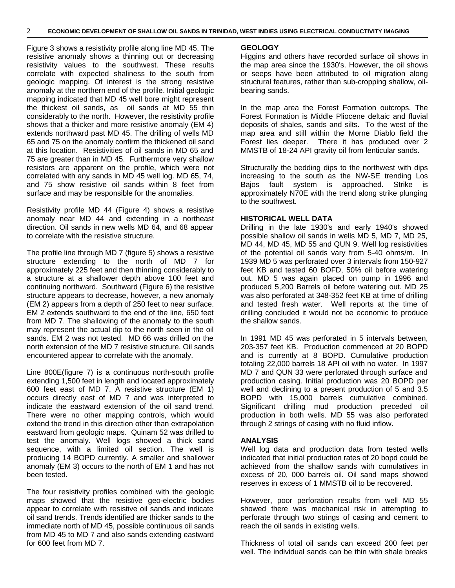Figure 3 shows a resistivity profile along line MD 45. The resistive anomaly shows a thinning out or decreasing resistivity values to the southwest. These results correlate with expected shaliness to the south from geologic mapping. Of interest is the strong resistive anomaly at the northern end of the profile. Initial geologic mapping indicated that MD 45 well bore might represent the thickest oil sands, as oil sands at MD 55 thin considerably to the north. However, the resistivity profile shows that a thicker and more resistive anomaly (EM 4) extends northward past MD 45. The drilling of wells MD 65 and 75 on the anomaly confirm the thickened oil sand at this location. Resistivities of oil sands in MD 65 and 75 are greater than in MD 45. Furthermore very shallow resistors are apparent on the profile, which were not correlated with any sands in MD 45 well log. MD 65, 74, and 75 show resistive oil sands within 8 feet from surface and may be responsible for the anomalies.

Resistivity profile MD 44 (Figure 4) shows a resistive anomaly near MD 44 and extending in a northeast direction. Oil sands in new wells MD 64, and 68 appear to correlate with the resistive structure.

The profile line through MD 7 (figure 5) shows a resistive structure extending to the north of MD 7 for approximately 225 feet and then thinning considerably to a structure at a shallower depth above 100 feet and continuing northward. Southward (Figure 6) the resistive structure appears to decrease, however, a new anomaly (EM 2) appears from a depth of 250 feet to near surface. EM 2 extends southward to the end of the line, 650 feet from MD 7. The shallowing of the anomaly to the south may represent the actual dip to the north seen in the oil sands. EM 2 was not tested. MD 66 was drilled on the north extension of the MD 7 resistive structure. Oil sands encountered appear to correlate with the anomaly.

Line 800E(figure 7) is a continuous north-south profile extending 1,500 feet in length and located approximately 600 feet east of MD 7. A resistive structure (EM 1) occurs directly east of MD 7 and was interpreted to indicate the eastward extension of the oil sand trend. There were no other mapping controls, which would extend the trend in this direction other than extrapolation eastward from geologic maps. Quinam 52 was drilled to test the anomaly. Well logs showed a thick sand sequence, with a limited oil section. The well is producing 14 BOPD currently. A smaller and shallower anomaly (EM 3) occurs to the north of EM 1 and has not been tested.

The four resistivity profiles combined with the geologic maps showed that the resistive geo-electric bodies appear to correlate with resistive oil sands and indicate oil sand trends. Trends identified are thicker sands to the immediate north of MD 45, possible continuous oil sands from MD 45 to MD 7 and also sands extending eastward for 600 feet from MD 7.

#### **GEOLOGY**

Higgins and others have recorded surface oil shows in the map area since the 1930's. However, the oil shows or seeps have been attributed to oil migration along structural features, rather than sub-cropping shallow, oilbearing sands.

In the map area the Forest Formation outcrops. The Forest Formation is Middle Pliocene deltaic and fluvial deposits of shales, sands and silts. To the west of the map area and still within the Morne Diablo field the Forest lies deeper. There it has produced over 2 MMSTB of 18-24 API gravity oil from lenticular sands.

Structurally the bedding dips to the northwest with dips increasing to the south as the NW-SE trending Los Bajos fault system is approached. Strike is approximately N70E with the trend along strike plunging to the southwest.

#### **HISTORICAL WELL DATA**

Drilling in the late 1930's and early 1940's showed possible shallow oil sands in wells MD 5, MD 7, MD 25, MD 44, MD 45, MD 55 and QUN 9. Well log resistivities of the potential oil sands vary from 5-40 ohms/m. In 1939 MD 5 was perforated over 3 intervals from 150-927 feet KB and tested 60 BOFD, 50% oil before watering out. MD 5 was again placed on pump in 1996 and produced 5,200 Barrels oil before watering out. MD 25 was also perforated at 348-352 feet KB at time of drilling and tested fresh water. Well reports at the time of drilling concluded it would not be economic to produce the shallow sands.

In 1991 MD 45 was perforated in 5 intervals between, 203-357 feet KB. Production commenced at 20 BOPD and is currently at 8 BOPD. Cumulative production totaling 22,000 barrels 18 API oil with no water. In 1997 MD 7 and QUN 33 were perforated through surface and production casing. Initial production was 20 BOPD per well and declining to a present production of 5 and 3.5 BOPD with 15,000 barrels cumulative combined. Significant drilling mud production preceded oil production in both wells. MD 55 was also perforated through 2 strings of casing with no fluid inflow.

#### **ANALYSIS**

Well log data and production data from tested wells indicated that initial production rates of 20 bopd could be achieved from the shallow sands with cumulatives in excess of 20, 000 barrels oil. Oil sand maps showed reserves in excess of 1 MMSTB oil to be recovered.

However, poor perforation results from well MD 55 showed there was mechanical risk in attempting to perforate through two strings of casing and cement to reach the oil sands in existing wells.

Thickness of total oil sands can exceed 200 feet per well. The individual sands can be thin with shale breaks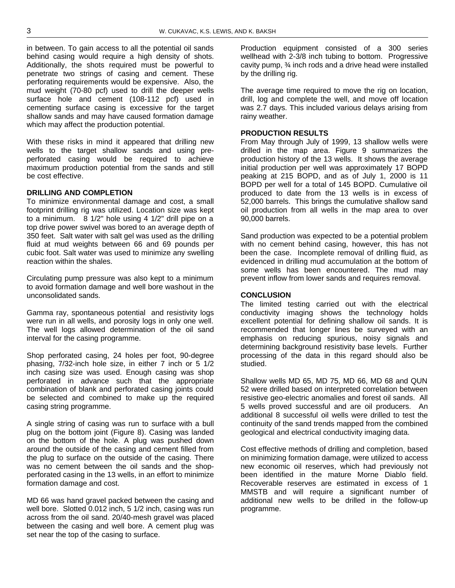in between. To gain access to all the potential oil sands behind casing would require a high density of shots. Additionally, the shots required must be powerful to penetrate two strings of casing and cement. These perforating requirements would be expensive. Also, the mud weight (70-80 pcf) used to drill the deeper wells surface hole and cement (108-112 pcf) used in cementing surface casing is excessive for the target shallow sands and may have caused formation damage which may affect the production potential.

With these risks in mind it appeared that drilling new wells to the target shallow sands and using preperforated casing would be required to achieve maximum production potential from the sands and still be cost effective.

## **DRILLING AND COMPLETION**

To minimize environmental damage and cost, a small footprint drilling rig was utilized. Location size was kept to a minimum. 8 1/2" hole using 4 1/2" drill pipe on a top drive power swivel was bored to an average depth of 350 feet. Salt water with salt gel was used as the drilling fluid at mud weights between 66 and 69 pounds per cubic foot. Salt water was used to minimize any swelling reaction within the shales.

Circulating pump pressure was also kept to a minimum to avoid formation damage and well bore washout in the unconsolidated sands.

Gamma ray, spontaneous potential and resistivity logs were run in all wells, and porosity logs in only one well. The well logs allowed determination of the oil sand interval for the casing programme.

Shop perforated casing, 24 holes per foot, 90-degree phasing, 7/32-inch hole size, in either 7 inch or 5 1/2 inch casing size was used. Enough casing was shop perforated in advance such that the appropriate combination of blank and perforated casing joints could be selected and combined to make up the required casing string programme.

A single string of casing was run to surface with a bull plug on the bottom joint (Figure 8). Casing was landed on the bottom of the hole. A plug was pushed down around the outside of the casing and cement filled from the plug to surface on the outside of the casing. There was no cement between the oil sands and the shopperforated casing in the 13 wells, in an effort to minimize formation damage and cost.

MD 66 was hand gravel packed between the casing and well bore. Slotted 0.012 inch, 5 1/2 inch, casing was run across from the oil sand. 20/40-mesh gravel was placed between the casing and well bore. A cement plug was set near the top of the casing to surface.

Production equipment consisted of a 300 series wellhead with 2-3/8 inch tubing to bottom. Progressive cavity pump, ¾ inch rods and a drive head were installed by the drilling rig.

The average time required to move the rig on location, drill, log and complete the well, and move off location was 2.7 days. This included various delays arising from rainy weather.

#### **PRODUCTION RESULTS**

From May through July of 1999, 13 shallow wells were drilled in the map area. Figure 9 summarizes the production history of the 13 wells. It shows the average initial production per well was approximately 17 BOPD peaking at 215 BOPD, and as of July 1, 2000 is 11 BOPD per well for a total of 145 BOPD. Cumulative oil produced to date from the 13 wells is in excess of 52,000 barrels. This brings the cumulative shallow sand oil production from all wells in the map area to over 90,000 barrels.

Sand production was expected to be a potential problem with no cement behind casing, however, this has not been the case. Incomplete removal of drilling fluid, as evidenced in drilling mud accumulation at the bottom of some wells has been encountered. The mud may prevent inflow from lower sands and requires removal.

#### **CONCLUSION**

The limited testing carried out with the electrical conductivity imaging shows the technology holds excellent potential for defining shallow oil sands. It is recommended that longer lines be surveyed with an emphasis on reducing spurious, noisy signals and determining background resistivity base levels. Further processing of the data in this regard should also be studied.

Shallow wells MD 65, MD 75, MD 66, MD 68 and QUN 52 were drilled based on interpreted correlation between resistive geo-electric anomalies and forest oil sands. All 5 wells proved successful and are oil producers. An additional 8 successful oil wells were drilled to test the continuity of the sand trends mapped from the combined geological and electrical conductivity imaging data.

Cost effective methods of drilling and completion, based on minimizing formation damage, were utilized to access new economic oil reserves, which had previously not been identified in the mature Morne Diablo field. Recoverable reserves are estimated in excess of 1 MMSTB and will require a significant number of additional new wells to be drilled in the follow-up programme.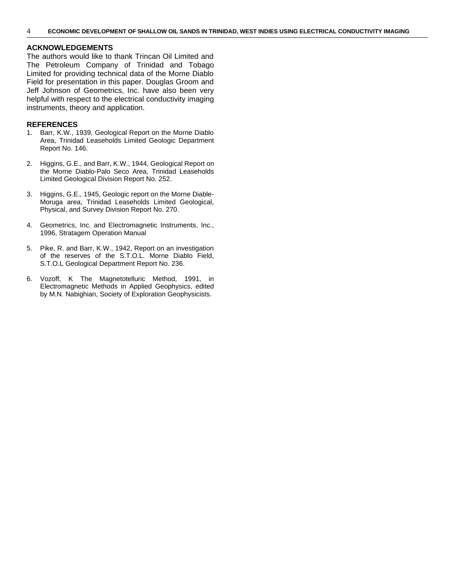#### **ACKNOWLEDGEMENTS**

The authors would like to thank Trincan Oil Limited and The Petroleum Company of Trinidad and Tobago Limited for providing technical data of the Morne Diablo Field for presentation in this paper. Douglas Groom and Jeff Johnson of Geometrics, Inc. have also been very helpful with respect to the electrical conductivity imaging instruments, theory and application.

#### **REFERENCES**

- 1. Barr, K.W., 1939, Geological Report on the Morne Diablo Area, Trinidad Leaseholds Limited Geologic Department Report No. 146.
- 2. Higgins, G.E., and Barr, K.W., 1944, Geological Report on the Morne Diablo-Palo Seco Area, Trinidad Leaseholds Limited Geological Division Report No. 252.
- 3. Higgins, G.E., 1945, Geologic report on the Morne Diable-Moruga area, Trinidad Leaseholds Limited Geological, Physical, and Survey Division Report No. 270.
- 4. Geometrics, Inc. and Electromagnetic Instruments, Inc., 1996, Stratagem Operation Manual
- 5. Pike, R. and Barr, K.W., 1942, Report on an investigation of the reserves of the S.T.O.L. Morne Diablo Field, S.T.O.L Geological Department Report No. 236.
- 6. Vozoff, K The Magnetotelluric Method, 1991, in Electromagnetic Methods in Applied Geophysics, edited by M.N. Nabighian, Society of Exploration Geophysicists.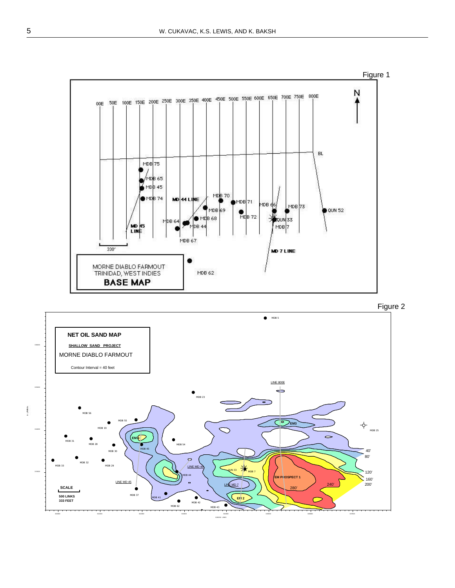



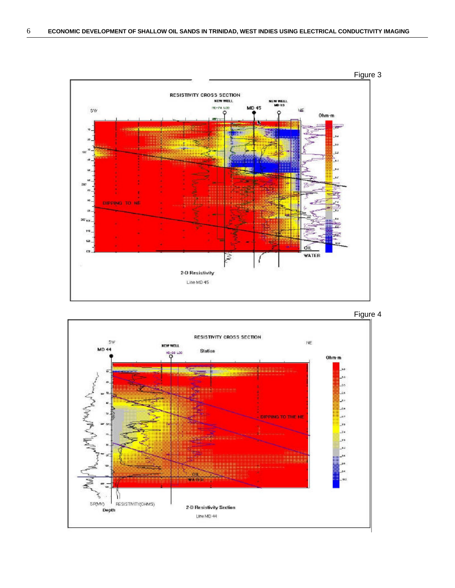



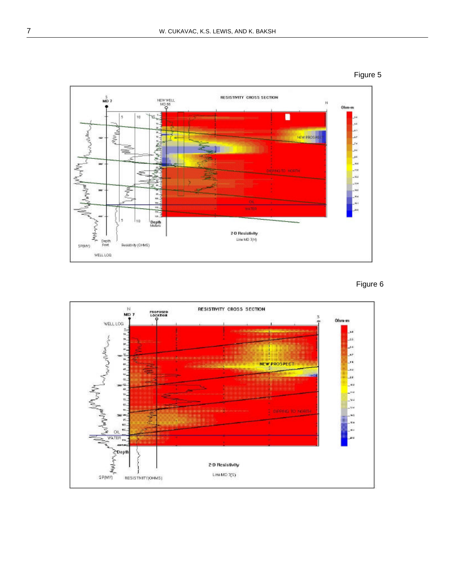





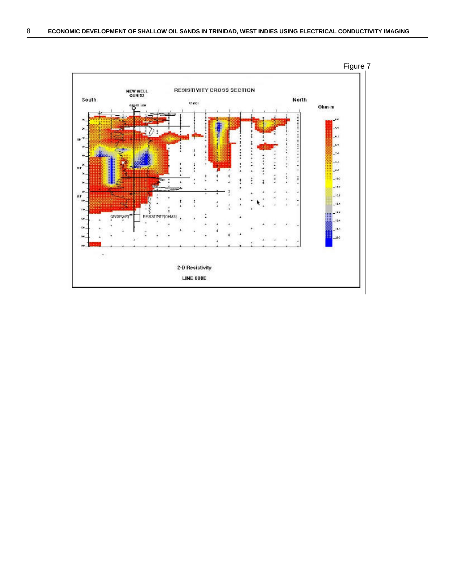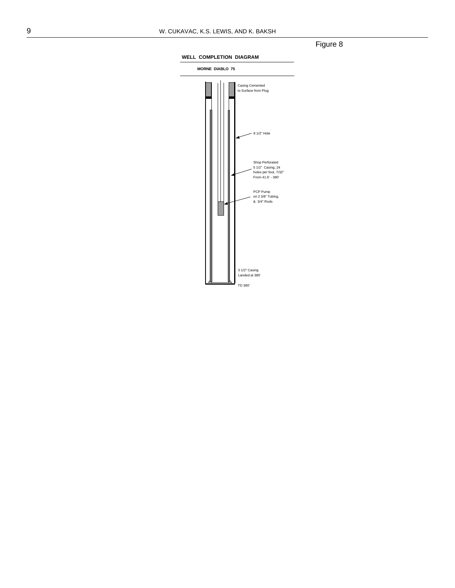Figure 8